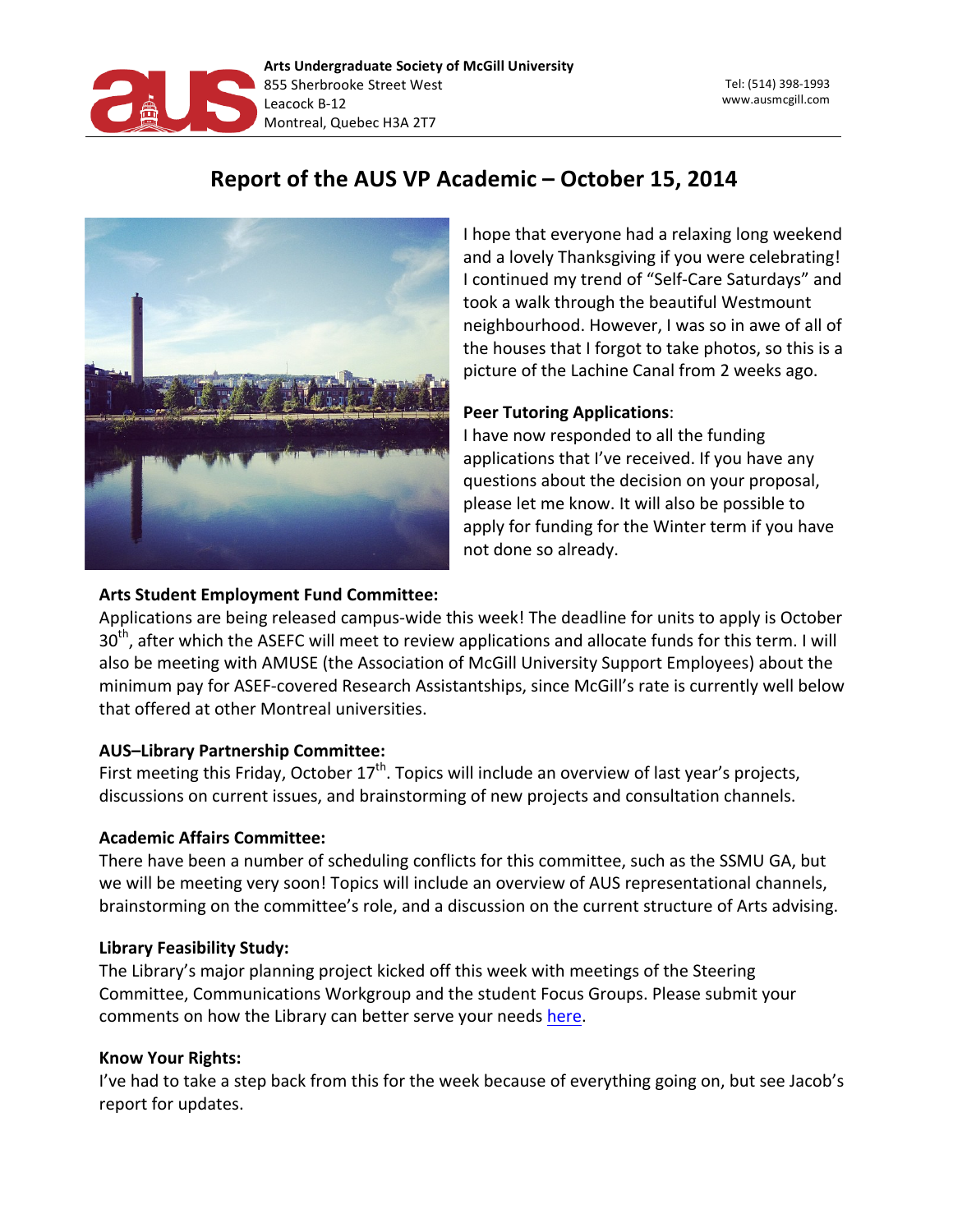

# Report of the AUS VP Academic - October 15, 2014



I hope that everyone had a relaxing long weekend and a lovely Thanksgiving if you were celebrating! I continued my trend of "Self-Care Saturdays" and took a walk through the beautiful Westmount neighbourhood. However, I was so in awe of all of the houses that I forgot to take photos, so this is a picture of the Lachine Canal from 2 weeks ago.

# **Peer Tutoring Applications:**

I have now responded to all the funding applications that I've received. If you have any questions about the decision on your proposal, please let me know. It will also be possible to apply for funding for the Winter term if you have not done so already.

# **Arts Student Employment Fund Committee:**

Applications are being released campus-wide this week! The deadline for units to apply is October  $30<sup>th</sup>$ , after which the ASEFC will meet to review applications and allocate funds for this term. I will also be meeting with AMUSE (the Association of McGill University Support Employees) about the minimum pay for ASEF-covered Research Assistantships, since McGill's rate is currently well below that offered at other Montreal universities.

## **AUS-Library Partnership Committee:**

First meeting this Friday, October  $17<sup>th</sup>$ . Topics will include an overview of last year's projects, discussions on current issues, and brainstorming of new projects and consultation channels.

## **Academic Affairs Committee:**

There have been a number of scheduling conflicts for this committee, such as the SSMU GA, but we will be meeting very soon! Topics will include an overview of AUS representational channels, brainstorming on the committee's role, and a discussion on the current structure of Arts advising.

## **Library Feasibility Study:**

The Library's major planning project kicked off this week with meetings of the Steering Committee, Communications Workgroup and the student Focus Groups. Please submit your comments on how the Library can better serve your needs here.

## **Know Your Rights:**

I've had to take a step back from this for the week because of everything going on, but see Jacob's report for updates.